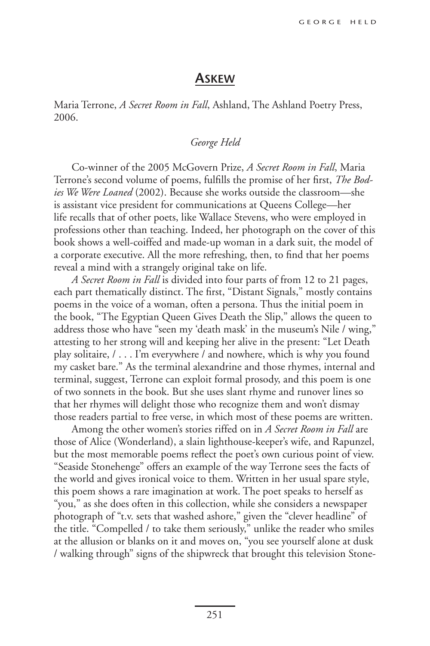## **Askew**

Maria Terrone, *A Secret Room in Fall*, Ashland, The Ashland Poetry Press, 2006.

## *George Held*

Co-winner of the 2005 McGovern Prize, *A Secret Room in Fall*, Maria Terrone's second volume of poems, fulfills the promise of her first, *The Bodies We Were Loaned* (2002). Because she works outside the classroom—she is assistant vice president for communications at Queens College—her life recalls that of other poets, like Wallace Stevens, who were employed in professions other than teaching. Indeed, her photograph on the cover of this book shows a well-coiffed and made-up woman in a dark suit, the model of a corporate executive. All the more refreshing, then, to find that her poems reveal a mind with a strangely original take on life.

*A Secret Room in Fall* is divided into four parts of from 12 to 21 pages, each part thematically distinct. The first, "Distant Signals," mostly contains poems in the voice of a woman, often a persona. Thus the initial poem in the book, "The Egyptian Queen Gives Death the Slip," allows the queen to address those who have "seen my 'death mask' in the museum's Nile / wing," attesting to her strong will and keeping her alive in the present: "Let Death play solitaire, / . . . I'm everywhere / and nowhere, which is why you found my casket bare." As the terminal alexandrine and those rhymes, internal and terminal, suggest, Terrone can exploit formal prosody, and this poem is one of two sonnets in the book. But she uses slant rhyme and runover lines so that her rhymes will delight those who recognize them and won't dismay those readers partial to free verse, in which most of these poems are written.

Among the other women's stories riffed on in *A Secret Room in Fall* are those of Alice (Wonderland), a slain lighthouse-keeper's wife, and Rapunzel, but the most memorable poems reflect the poet's own curious point of view. "Seaside Stonehenge" offers an example of the way Terrone sees the facts of the world and gives ironical voice to them. Written in her usual spare style, this poem shows a rare imagination at work. The poet speaks to herself as "you," as she does often in this collection, while she considers a newspaper photograph of "t.v. sets that washed ashore," given the "clever headline" of the title. "Compelled / to take them seriously," unlike the reader who smiles at the allusion or blanks on it and moves on, "you see yourself alone at dusk / walking through" signs of the shipwreck that brought this television Stone-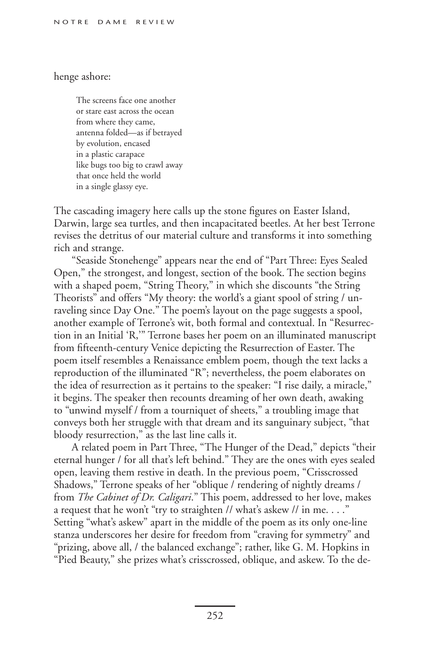## henge ashore:

The screens face one another or stare east across the ocean from where they came, antenna folded—as if betrayed by evolution, encased in a plastic carapace like bugs too big to crawl away that once held the world in a single glassy eye.

The cascading imagery here calls up the stone figures on Easter Island, Darwin, large sea turtles, and then incapacitated beetles. At her best Terrone revises the detritus of our material culture and transforms it into something rich and strange.

"Seaside Stonehenge" appears near the end of "Part Three: Eyes Sealed Open," the strongest, and longest, section of the book. The section begins with a shaped poem, "String Theory," in which she discounts "the String Theorists" and offers "My theory: the world's a giant spool of string / unraveling since Day One." The poem's layout on the page suggests a spool, another example of Terrone's wit, both formal and contextual. In "Resurrection in an Initial 'R,'" Terrone bases her poem on an illuminated manuscript from fifteenth-century Venice depicting the Resurrection of Easter. The poem itself resembles a Renaissance emblem poem, though the text lacks a reproduction of the illuminated "R"; nevertheless, the poem elaborates on the idea of resurrection as it pertains to the speaker: "I rise daily, a miracle," it begins. The speaker then recounts dreaming of her own death, awaking to "unwind myself / from a tourniquet of sheets," a troubling image that conveys both her struggle with that dream and its sanguinary subject, "that bloody resurrection," as the last line calls it.

A related poem in Part Three, "The Hunger of the Dead," depicts "their eternal hunger / for all that's left behind." They are the ones with eyes sealed open, leaving them restive in death. In the previous poem, "Crisscrossed Shadows," Terrone speaks of her "oblique / rendering of nightly dreams / from *The Cabinet of Dr. Caligari*." This poem, addressed to her love, makes a request that he won't "try to straighten // what's askew // in me. . . ." Setting "what's askew" apart in the middle of the poem as its only one-line stanza underscores her desire for freedom from "craving for symmetry" and "prizing, above all, / the balanced exchange"; rather, like G. M. Hopkins in "Pied Beauty," she prizes what's crisscrossed, oblique, and askew. To the de